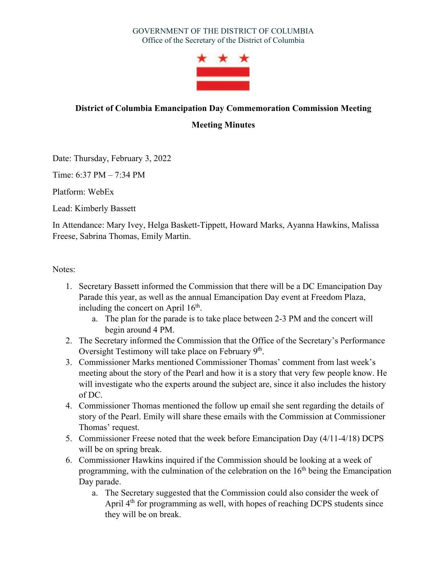

## **District of Columbia Emancipation Day Commemoration Commission Meeting**

**Meeting Minutes** 

Date: Thursday, February 3, 2022

Time: 6:37 PM – 7:34 PM

Platform: WebEx

Lead: Kimberly Bassett

In Attendance: Mary Ivey, Helga Baskett-Tippett, Howard Marks, Ayanna Hawkins, Malissa Freese, Sabrina Thomas, Emily Martin.

Notes:

- 1. Secretary Bassett informed the Commission that there will be a DC Emancipation Day Parade this year, as well as the annual Emancipation Day event at Freedom Plaza, including the concert on April  $16<sup>th</sup>$ .
	- a. The plan for the parade is to take place between 2-3 PM and the concert will begin around 4 PM.
- 2. The Secretary informed the Commission that the Office of the Secretary's Performance Oversight Testimony will take place on February  $9<sup>th</sup>$ .
- 3. Commissioner Marks mentioned Commissioner Thomas' comment from last week's meeting about the story of the Pearl and how it is a story that very few people know. He will investigate who the experts around the subject are, since it also includes the history of DC.
- 4. Commissioner Thomas mentioned the follow up email she sent regarding the details of story of the Pearl. Emily will share these emails with the Commission at Commissioner Thomas' request.
- 5. Commissioner Freese noted that the week before Emancipation Day (4/11-4/18) DCPS will be on spring break.
- 6. Commissioner Hawkins inquired if the Commission should be looking at a week of programming, with the culmination of the celebration on the  $16<sup>th</sup>$  being the Emancipation Day parade.
	- a. The Secretary suggested that the Commission could also consider the week of April 4<sup>th</sup> for programming as well, with hopes of reaching DCPS students since they will be on break.